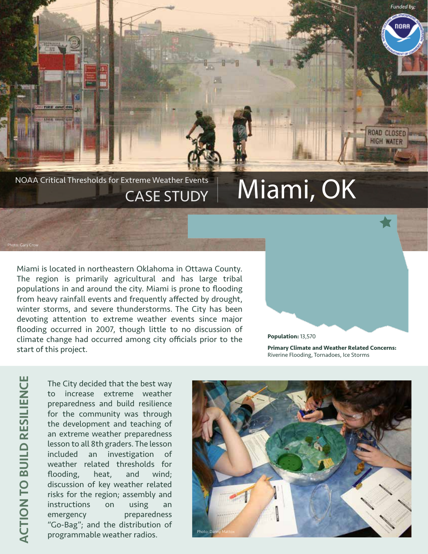NOAA Critical Thresholds for Extreme Weather Events  $\parallel$  Miami, OK CASE STUDY

Miami is located in northeastern Oklahoma in Ottawa County. The region is primarily agricultural and has large tribal populations in and around the city. Miami is prone to flooding from heavy rainfall events and frequently affected by drought, winter storms, and severe thunderstorms. The City has been devoting attention to extreme weather events since major flooding occurred in 2007, though little to no discussion of climate change had occurred among city officials prior to the start of this project.

**Population:** 13,570

**Primary Climate and Weather Related Concerns:**  Riverine Flooding, Tornadoes, Ice Storms

*Funded by:*

nnai

ROAD CLOSED **HIGH WATER** 

Photo: Gary Crow

The City decided that the best way to increase extreme weather preparedness and build resilience for the community was through the development and teaching of an extreme weather preparedness lesson to all 8th graders. The lesson included an investigation of weather related thresholds for flooding, heat, and wind; discussion of key weather related risks for the region; assembly and instructions on using an emergency preparedness "Go-Bag"; and the distribution of programmable weather radios.